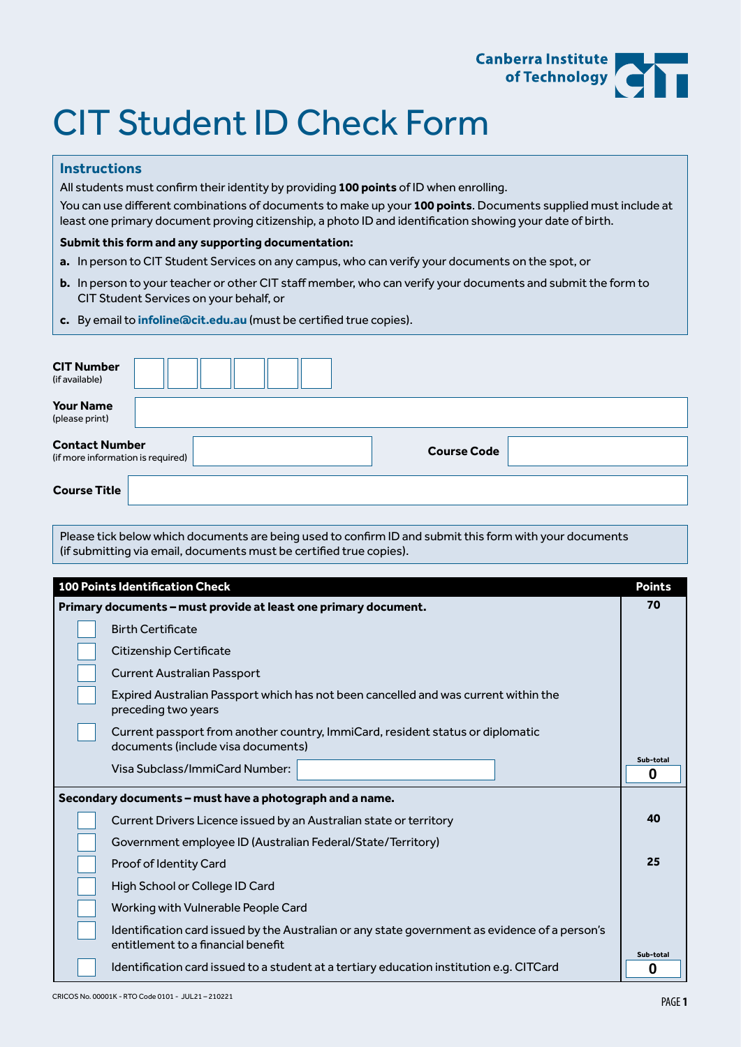

# CIT Student ID Check Form

## **Instructions**

All students must confirm their identity by providing **100 points** of ID when enrolling.

You can use different combinations of documents to make up your **100 points**. Documents supplied must include at least one primary document proving citizenship, a photo ID and identification showing your date of birth.

#### **Submit this form and any supporting documentation:**

- **a.** In person to CIT Student Services on any campus, who can verify your documents on the spot, or
- **b.** In person to your teacher or other CIT staff member, who can verify your documents and submit the form to CIT Student Services on your behalf, or
- **c.** By email to **[infoline@cit.edu.au](mailto:infoline%40cit.edu.au?subject=)** (must be certified true copies).

| <b>CIT Number</b><br>(if available)<br><b>Your Name</b>                                                                                                                        |                |  |  |  |                                                                                                            |
|--------------------------------------------------------------------------------------------------------------------------------------------------------------------------------|----------------|--|--|--|------------------------------------------------------------------------------------------------------------|
| (please print)                                                                                                                                                                 |                |  |  |  |                                                                                                            |
| <b>Contact Number</b><br><b>Course Code</b><br>(if more information is required)                                                                                               |                |  |  |  |                                                                                                            |
| <b>Course Title</b>                                                                                                                                                            |                |  |  |  |                                                                                                            |
| Please tick below which documents are being used to confirm ID and submit this form with your documents<br>(if submitting via email, documents must be certified true copies). |                |  |  |  |                                                                                                            |
| <b>100 Points Identification Check</b><br><b>Points</b>                                                                                                                        |                |  |  |  |                                                                                                            |
| Primary documents - must provide at least one primary document.                                                                                                                |                |  |  |  |                                                                                                            |
| <b>Birth Certificate</b>                                                                                                                                                       |                |  |  |  |                                                                                                            |
| Citizenship Certificate<br>Current Australian Passport                                                                                                                         |                |  |  |  |                                                                                                            |
|                                                                                                                                                                                |                |  |  |  | Expired Australian Passport which has not been cancelled and was current within the<br>preceding two years |
| Current passport from another country, ImmiCard, resident status or diplomatic<br>documents (include visa documents)                                                           |                |  |  |  |                                                                                                            |
| Visa Subclass/ImmiCard Number:                                                                                                                                                 | Sub-total<br>0 |  |  |  |                                                                                                            |
| Secondary documents - must have a photograph and a name.                                                                                                                       |                |  |  |  |                                                                                                            |
| Current Drivers Licence issued by an Australian state or territory                                                                                                             | 40             |  |  |  |                                                                                                            |
| Government employee ID (Australian Federal/State/Territory)                                                                                                                    |                |  |  |  |                                                                                                            |
| Proof of Identity Card                                                                                                                                                         |                |  |  |  |                                                                                                            |
| High School or College ID Card                                                                                                                                                 |                |  |  |  |                                                                                                            |
| Working with Vulnerable People Card                                                                                                                                            |                |  |  |  |                                                                                                            |
| Identification card issued by the Australian or any state government as evidence of a person's<br>entitlement to a financial benefit<br>Sub-total                              |                |  |  |  |                                                                                                            |
| Identification card issued to a student at a tertiary education institution e.g. CITCard                                                                                       | 0              |  |  |  |                                                                                                            |